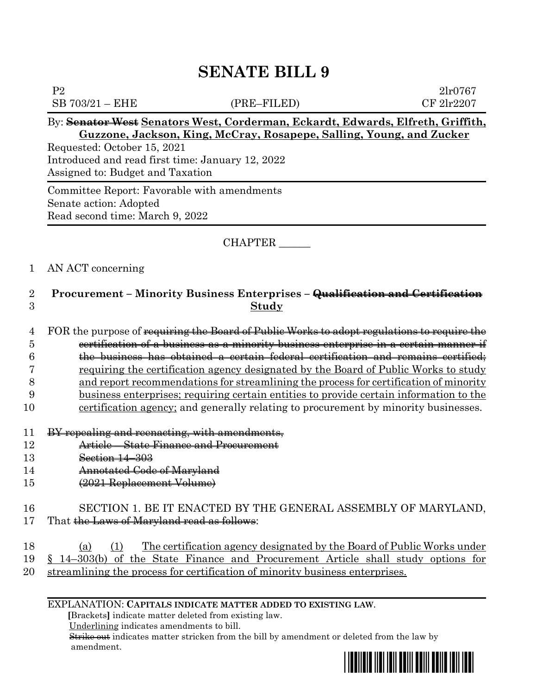P2 2lr0767  $SB 703/21 - EHE$  (PRE–FILED) CF  $2\text{lr}2207$ By: **Senator West Senators West, Corderman, Eckardt, Edwards, Elfreth, Griffith, Guzzone, Jackson, King, McCray, Rosapepe, Salling, Young, and Zucker** Requested: October 15, 2021 Introduced and read first time: January 12, 2022 Assigned to: Budget and Taxation

Committee Report: Favorable with amendments Senate action: Adopted Read second time: March 9, 2022

### CHAPTER \_\_\_\_\_\_

#### 1 AN ACT concerning

# 2 **Procurement – Minority Business Enterprises – Qualification and Certification** 3 **Study**

4 FOR the purpose of requiring the Board of Public Works to adopt regulations to require the certification of a business as a minority business enterprise in a certain manner if the business has obtained a certain federal certification and remains certified; requiring the certification agency designated by the Board of Public Works to study and report recommendations for streamlining the process for certification of minority business enterprises; requiring certain entities to provide certain information to the 10 certification agency; and generally relating to procurement by minority businesses.

- 11 BY repealing and reenacting, with amendments,
- 12 Article State Finance and Procurement
- 13 **Section 14–303**
- 14 Annotated Code of Maryland
- 15 (2021 Replacement Volume)

#### 16 SECTION 1. BE IT ENACTED BY THE GENERAL ASSEMBLY OF MARYLAND, 17 That the Laws of Maryland read as follows:

- 18 (a) (1) The certification agency designated by the Board of Public Works under 19 § 14–303(b) of the State Finance and Procurement Article shall study options for 20 streamlining the process for certification of minority business enterprises.
	- EXPLANATION: **CAPITALS INDICATE MATTER ADDED TO EXISTING LAW**.

 **[**Brackets**]** indicate matter deleted from existing law.

Underlining indicates amendments to bill.

 Strike out indicates matter stricken from the bill by amendment or deleted from the law by amendment.

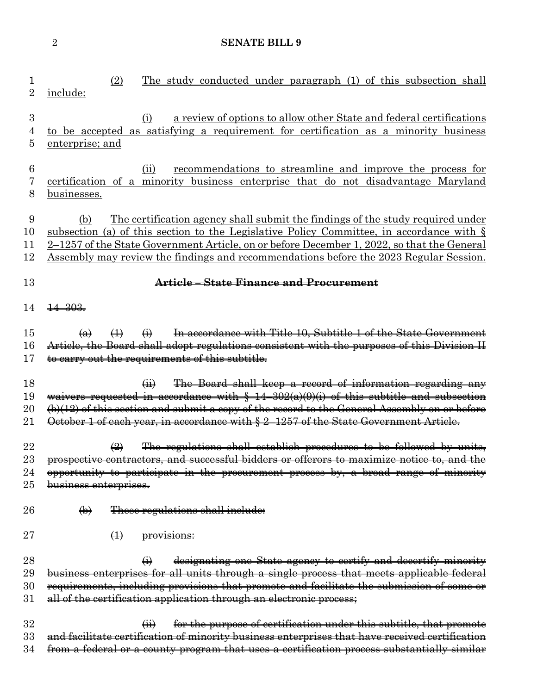| 1<br>$\overline{2}$        | The study conducted under paragraph (1) of this subsection shall<br>(2)<br>include:                                                                                                                                                                                                                                                                                                       |
|----------------------------|-------------------------------------------------------------------------------------------------------------------------------------------------------------------------------------------------------------------------------------------------------------------------------------------------------------------------------------------------------------------------------------------|
| $\boldsymbol{3}$<br>4<br>5 | a review of options to allow other State and federal certifications<br>(i)<br>to be accepted as satisfying a requirement for certification as a minority business<br>enterprise; and                                                                                                                                                                                                      |
| 6                          | recommendations to streamline and improve the process for<br>(ii)                                                                                                                                                                                                                                                                                                                         |
| 7<br>8                     | certification of a minority business enterprise that do not disadvantage Maryland<br>businesses.                                                                                                                                                                                                                                                                                          |
| 9<br>10<br>11<br>12        | <u>The certification agency shall submit the findings of the study required under</u><br>(b)<br>subsection (a) of this section to the Legislative Policy Committee, in accordance with $\S$<br>2-1257 of the State Government Article, on or before December 1, 2022, so that the General<br><u>Assembly may review the findings and recommendations before the 2023 Regular Session.</u> |
| 13                         | Article - State Finance and Procurement                                                                                                                                                                                                                                                                                                                                                   |
| 14                         | $\frac{14 - 303}{5}$                                                                                                                                                                                                                                                                                                                                                                      |
| 15                         | In accordance with Title 10, Subtitle 1 of the State Government<br>$\leftrightarrow$<br>$\bigoplus$<br>$\left( a\right)$                                                                                                                                                                                                                                                                  |
| 16<br>17                   | Article, the Board shall adopt regulations consistent with the purposes of this Division II<br>to carry out the requirements of this subtitle.                                                                                                                                                                                                                                            |
|                            |                                                                                                                                                                                                                                                                                                                                                                                           |
| 18                         | The Board shall keep a record of information regarding any<br>$\overline{44}$                                                                                                                                                                                                                                                                                                             |
| 19                         | waivers requested in accordance with $\frac{2}{3}$ 14-302(a)(0)(i) of this subtitle and subsection                                                                                                                                                                                                                                                                                        |
| 20<br>21                   | $(b)(12)$ of this section and submit a copy of the record to the General Assembly on or before<br>October 1 of each year, in accordance with § 2-1257 of the State Government Article.                                                                                                                                                                                                    |
|                            |                                                                                                                                                                                                                                                                                                                                                                                           |
| 22                         | The regulations shall establish procedures to be followed by units,<br>$\bigoplus$                                                                                                                                                                                                                                                                                                        |
| 23                         | prospective contractors, and successful bidders or offerors to maximize notice to, and the                                                                                                                                                                                                                                                                                                |
| 24                         | opportunity to participate in the procurement process by, a broad range of minority                                                                                                                                                                                                                                                                                                       |
| $25\,$                     | business enterprises.                                                                                                                                                                                                                                                                                                                                                                     |
| 26                         | These regulations shall include:<br>$\bigoplus$                                                                                                                                                                                                                                                                                                                                           |
| $27\,$                     | $\bigoplus$<br>provisions:                                                                                                                                                                                                                                                                                                                                                                |
| 28                         | designating one State agency to certify and decertify minority                                                                                                                                                                                                                                                                                                                            |
| 29                         | business enterprises for all units through a single process that meets applicable federal                                                                                                                                                                                                                                                                                                 |
| 30                         | requirements, including provisions that promote and facilitate the submission of some or                                                                                                                                                                                                                                                                                                  |
| 31                         | all of the certification application through an electronic process;                                                                                                                                                                                                                                                                                                                       |
| 32                         | for the purpose of certification under this subtitle, that promote<br>$\overline{H}$                                                                                                                                                                                                                                                                                                      |
| 33                         | and facilitate certification of minority business enterprises that have received certification                                                                                                                                                                                                                                                                                            |
| 34                         | from a federal or a county program that uses a certification process substantially similar                                                                                                                                                                                                                                                                                                |
|                            |                                                                                                                                                                                                                                                                                                                                                                                           |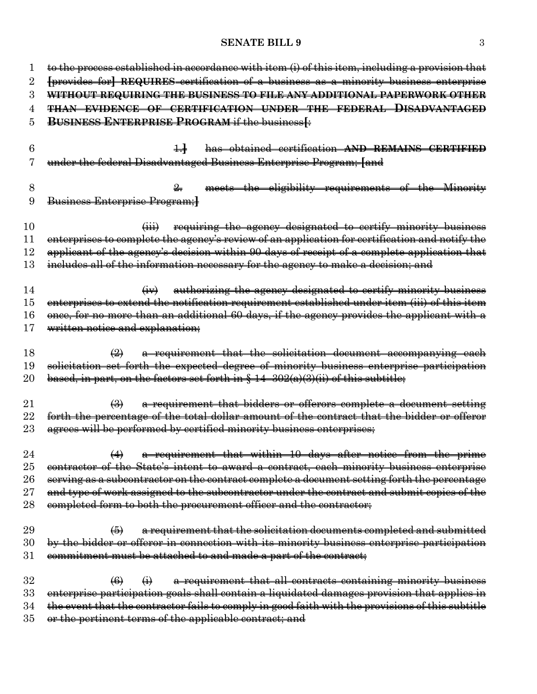| 1      | to the process established in accordance with item (i) of this item, including a provision that            |
|--------|------------------------------------------------------------------------------------------------------------|
| 2      | [provides for] REQUIRES certification of a business as a minority business enterprise                      |
| 3      | WITHOUT REQUIRING THE BUSINESS TO FILE ANY ADDITIONAL PAPERWORK OTHER                                      |
| 4      | <b>THAN EVIDENCE OF CERTIFICATION UNDER THE FEDERAL DISADVANTAGED</b>                                      |
| 5      | <b>BUSINESS ENTERPRISE PROGRAM if the business [:</b>                                                      |
|        |                                                                                                            |
| 6      | has obtained certification AND REMAINS CERTIFIED                                                           |
|        | under the federal Disadvantaged Business Enterprise Program; [and                                          |
|        |                                                                                                            |
| 8      | meets the eligibility requirements of the Minority                                                         |
| 9      | Business Enterprise Program;                                                                               |
|        |                                                                                                            |
| 10     | requiring the agency designated to certify minority business<br>$\overline{(\mathbf{iii})}$                |
| 11     | enterprises to complete the agency's review of an application for certification and notify the             |
| $12\,$ | applicant of the agency's decision within 90 days of receipt of a complete application that                |
| 13     | includes all of the information necessary for the agency to make a decision; and                           |
|        |                                                                                                            |
| 14     | authorizing the agency designated to certify minority business<br>$\overline{(+)}$                         |
| 15     | enterprises to extend the notification requirement established under item (iii) of this item               |
| 16     | once, for no more than an additional 60 days, if the agency provides the applicant with a                  |
| 17     | written notice and explanation;                                                                            |
|        |                                                                                                            |
| 18     | a requirement that the solicitation document accompanying each<br>$\leftrightarrow$                        |
| 19     | solicitation set forth the expected degree of minority business enterprise participation                   |
| $20\,$ | based, in part, on the factors set forth in $\frac{6}{3}$ 14-302(a)(3)(ii) of this subtitle;               |
|        |                                                                                                            |
| 21     | a requirement that bidders or offerors complete a document setting<br>$\leftrightarrow$                    |
| 22     | forth the percentage of the total dollar amount of the contract that the bidder or offeror                 |
| $23\,$ | agrees will be performed by certified minority business enterprises;                                       |
|        |                                                                                                            |
| 24     | a requirement that within 10 days after notice from the prime<br>$\leftrightarrow$                         |
| $25\,$ | contractor of the State's intent to award a contract, each minority business enterprise                    |
| 26     | serving as a subcontractor on the contract complete a document setting forth the percentage                |
| $27\,$ | and type of work assigned to the subcontractor under the contract and submit copies of the                 |
| 28     | completed form to both the procurement officer and the contractor;                                         |
|        |                                                                                                            |
| 29     | $\left( 5\right)$<br>a requirement that the solicitation documents completed and submitted                 |
| 30     | by the bidder or offeror in connection with its minority business enterprise participation                 |
| 31     | commitment must be attached to and made a part of the contract;                                            |
| 32     | a requirement that all contracts containing minority business<br>$\left( 6 \right)$                        |
| 33     | $\bigoplus$<br>enterprise participation goals shall contain a liquidated damages provision that applies in |
| 34     | the event that the contractor fails to comply in good faith with the provisions of this subtitle           |
| $35\,$ | or the pertinent terms of the applicable contract; and                                                     |
|        |                                                                                                            |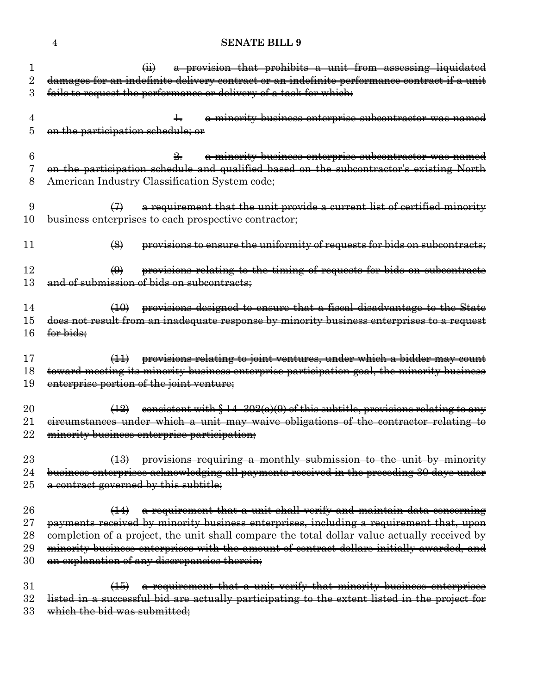|        | a provision that prohibits a unit from assessing liquidated<br>$\overline{a}$                                                 |
|--------|-------------------------------------------------------------------------------------------------------------------------------|
| 2      | damages for an indefinite delivery contract or an indefinite performance contract if a unit                                   |
| 3      | fails to request the performance or delivery of a task for which:                                                             |
|        |                                                                                                                               |
| 4      | a minority business enterprise subcontractor was named<br>$\pm$                                                               |
| 5      | on the participation schedule; or                                                                                             |
|        |                                                                                                                               |
| 6      | a minority business enterprise subcontractor was named<br>$\frac{9}{2}$                                                       |
| 7      | on the participation schedule and qualified based on the subcontractor's existing North                                       |
| 8      | American Industry Classification System code;                                                                                 |
|        |                                                                                                                               |
| 9      | a requirement that the unit provide a current list of certified minority<br>$\leftrightarrow$                                 |
| 10     | business enterprises to each prospective contractor;                                                                          |
| 11     | $\left( \bigotimes \right)$                                                                                                   |
|        | provisions to ensure the uniformity of requests for bids on subcontracts;                                                     |
| $12\,$ | provisions relating to the timing of requests for bids on subcontracts<br>$\bigoplus$                                         |
| 13     | and of submission of bids on subcontracts;                                                                                    |
|        |                                                                                                                               |
| 14     | provisions designed to ensure that a fiscal disadvantage to the State<br>(10)                                                 |
| 15     | does not result from an inadequate response by minority business enterprises to a request                                     |
| 16     | <del>for bids:</del>                                                                                                          |
|        |                                                                                                                               |
| 17     | provisions relating to joint ventures, under which a bidder may count<br>$\left(\frac{1}{2}\right)$                           |
| 18     | toward meeting its minority business enterprise participation goal, the minority business                                     |
| 19     | enterprise portion of the joint venture;                                                                                      |
|        |                                                                                                                               |
| 20     | eonsistent with $\S 14-302(a)(9)$ of this subtitle, provisions relating to any<br>$\left(12\right)$                           |
| $21\,$ | eircumstances under which a unit may waive obligations of the contractor relating to                                          |
| 22     | minority business enterprise participation;                                                                                   |
|        |                                                                                                                               |
| 23     | provisions requiring a monthly submission to the unit by minority                                                             |
| 24     | business enterprises acknowledging all payments received in the preceding 30 days under                                       |
| 25     | a contract governed by this subtitle;                                                                                         |
|        |                                                                                                                               |
| 26     | a requirement that a unit shall verify and maintain data concerning<br>$\left( \frac{1}{2} \right)$                           |
| $27\,$ | payments received by minority business enterprises, including a requirement that, upon                                        |
| 28     | completion of a project, the unit shall compare the total dollar value actually received by                                   |
| 29     | minority business enterprises with the amount of contract dollars initially awarded, and                                      |
| 30     | an explanation of any discrepancies therein;                                                                                  |
| 31     |                                                                                                                               |
| 32     | (15) a requirement that a unit verify that minority business enterprises                                                      |
| 33     | listed in a successful bid are actually participating to the extent listed in the project for<br>which the bid was submitted; |
|        |                                                                                                                               |
|        |                                                                                                                               |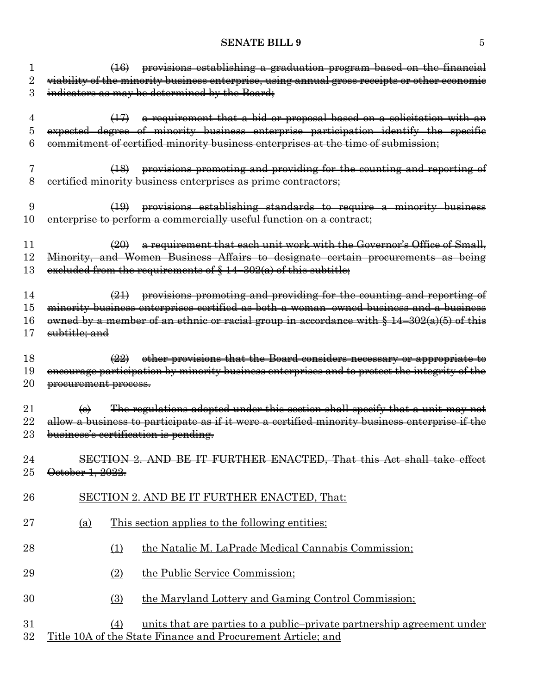|          | provisions establishing a graduation program based on the financial                                                                                                  |
|----------|----------------------------------------------------------------------------------------------------------------------------------------------------------------------|
| 2        | viability of the minority business enterprise, using annual gross receipts or other economic                                                                         |
| 3        | indicators as may be determined by the Board;                                                                                                                        |
|          |                                                                                                                                                                      |
| 4        | $(17)$ a requirement that a bid or proposal based on a solicitation with an                                                                                          |
| 5        | expected degree of minority business enterprise participation identify the specific                                                                                  |
| 6        | commitment of certified minority business enterprises at the time of submission;                                                                                     |
|          |                                                                                                                                                                      |
| 7        | (18) provisions promoting and providing for the counting and reporting of                                                                                            |
| 8        | certified minority business enterprises as prime contractors;                                                                                                        |
|          |                                                                                                                                                                      |
| 9        | (19) provisions establishing standards to require a minority business                                                                                                |
| 10       | enterprise to perform a commercially useful function on a contract;                                                                                                  |
|          |                                                                                                                                                                      |
| 11       | a requirement that each unit work with the Governor's Office of Small,<br>(20)                                                                                       |
| 12       | Minority, and Women Business Affairs to designate certain procurements as being                                                                                      |
| 13       | excluded from the requirements of $§$ 14-302(a) of this subtitle;                                                                                                    |
|          |                                                                                                                                                                      |
| 14<br>15 | $(21)$ provisions promoting and providing for the counting and reporting of<br>minority business enterprises certified as both a woman-owned business and a business |
| 16       |                                                                                                                                                                      |
| 17       | owned by a member of an ethnic or racial group in accordance with $\S 14-302(a)(5)$ of this<br>subtitle; and                                                         |
|          |                                                                                                                                                                      |
| 18       | other provisions that the Board considers necessary or appropriate to<br>$\left( 22\right) $                                                                         |
| 19       | encourage participation by minority business enterprises and to protect the integrity of the                                                                         |
| 20       | procurement process.                                                                                                                                                 |
|          |                                                                                                                                                                      |
| $\rm 21$ | The regulations adopted under this section shall specify that a unit may not<br>$\left(\mathbf{e}\right)$                                                            |
| $22\,$   | allow a business to participate as if it were a certified minority business enterprise if the                                                                        |
| 23       | business's certification is pending.                                                                                                                                 |
|          |                                                                                                                                                                      |
| 24       | $9$ AND<br><b>ENACTED, That this Act</b>                                                                                                                             |
| 25       | October 1, 2022.                                                                                                                                                     |
|          |                                                                                                                                                                      |
| 26       | SECTION 2. AND BE IT FURTHER ENACTED, That:                                                                                                                          |
|          |                                                                                                                                                                      |
| 27       | This section applies to the following entities:<br><u>(a)</u>                                                                                                        |
|          |                                                                                                                                                                      |
| 28       | the Natalie M. LaPrade Medical Cannabis Commission;<br>(1)                                                                                                           |
|          |                                                                                                                                                                      |
| 29       | the Public Service Commission;<br>(2)                                                                                                                                |
|          |                                                                                                                                                                      |
| 30       | the Maryland Lottery and Gaming Control Commission;<br>(3)                                                                                                           |
|          |                                                                                                                                                                      |
| 31       | units that are parties to a public-private partnership agreement under<br>(4)                                                                                        |
| 32       | Title 10A of the State Finance and Procurement Article; and                                                                                                          |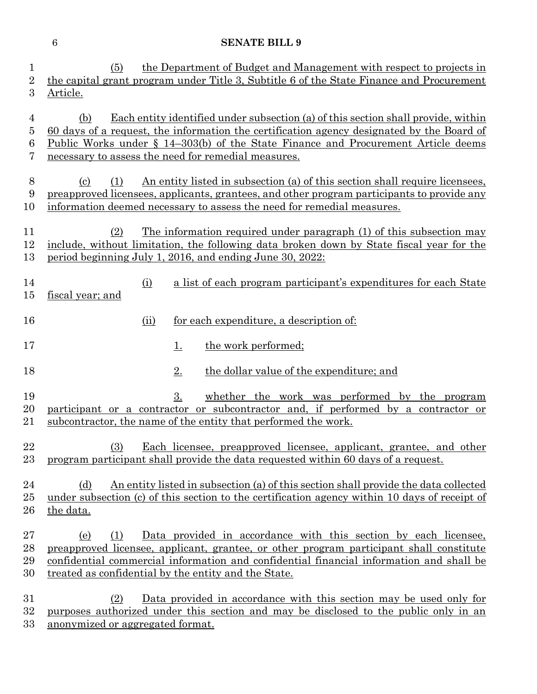| 1<br>$\overline{2}$      | the Department of Budget and Management with respect to projects in<br>(5)<br>the capital grant program under Title 3, Subtitle 6 of the State Finance and Procurement                                                                                                                                                            |
|--------------------------|-----------------------------------------------------------------------------------------------------------------------------------------------------------------------------------------------------------------------------------------------------------------------------------------------------------------------------------|
| 3                        | Article.                                                                                                                                                                                                                                                                                                                          |
| 4<br>5<br>6<br>7         | Each entity identified under subsection (a) of this section shall provide, within<br>(b)<br>60 days of a request, the information the certification agency designated by the Board of<br>Public Works under § 14–303(b) of the State Finance and Procurement Article deems<br>necessary to assess the need for remedial measures. |
| 8<br>9<br>10             | An entity listed in subsection (a) of this section shall require licensees,<br>(1)<br>$\left( \mathrm{c}\right)$<br>preapproved licensees, applicants, grantees, and other program participants to provide any<br>information deemed necessary to assess the need for remedial measures.                                          |
| 11<br>12<br>13           | (2)<br>The information required under paragraph (1) of this subsection may<br>include, without limitation, the following data broken down by State fiscal year for the<br>period beginning July 1, 2016, and ending June 30, 2022:                                                                                                |
| 14<br>$15\,$             | a list of each program participant's expenditures for each State<br>(i)<br>fiscal year; and                                                                                                                                                                                                                                       |
| 16                       | for each expenditure, a description of:<br>(ii)                                                                                                                                                                                                                                                                                   |
| 17                       | the work performed;<br><u>1.</u>                                                                                                                                                                                                                                                                                                  |
| 18                       | 2.<br>the dollar value of the expenditure; and                                                                                                                                                                                                                                                                                    |
| 19<br>20<br>21           | whether the work was performed by the program<br>3.<br>participant or a contractor or subcontractor and, if performed by a contractor or<br>subcontractor, the name of the entity that performed the work.                                                                                                                        |
| 22<br>23                 | Each licensee, preapproved licensee, applicant, grantee, and other<br>(3)<br>program participant shall provide the data requested within 60 days of a request.                                                                                                                                                                    |
| 24<br>$25\,$<br>26       | An entity listed in subsection (a) of this section shall provide the data collected<br>(d)<br>under subsection (c) of this section to the certification agency within 10 days of receipt of<br>the data.                                                                                                                          |
| $27\,$<br>28<br>29<br>30 | Data provided in accordance with this section by each licensee,<br>(1)<br>(e)<br>preapproved licensee, applicant, grantee, or other program participant shall constitute<br>confidential commercial information and confidential financial information and shall be<br>treated as confidential by the entity and the State.       |
| $31\,$<br>$32\,$         | Data provided in accordance with this section may be used only for<br>(2)<br>purposes authorized under this section and may be disclosed to the public only in an                                                                                                                                                                 |

anonymized or aggregated format.